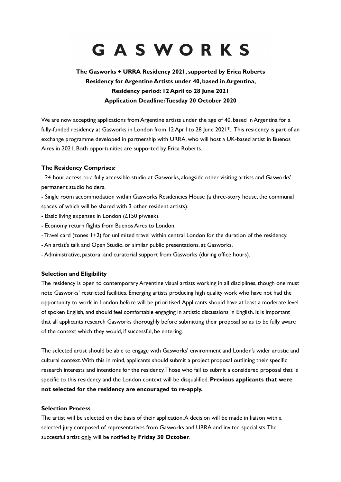# GASWORKS

# **The Gasworks + URRA Residency 2021, supported by Erica Roberts Residency for Argentine Artists under 40, based in Argentina, Residency period: 12 April to 28 June 2021 Application Deadline: Tuesday 20 October 2020**

We are now accepting applications from Argentine artists under the age of 40, based in Argentina for a fully-funded residency at Gasworks in London from 12 April to 28 June 2021\*. This residency is part of an exchange programme developed in partnership with URRA, who will host a UK-based artist in Buenos Aires in 2021. Both opportunities are supported by Erica Roberts.

# **The Residency Comprises:**

- 24-hour access to a fully accessible studio at Gasworks, alongside other visiting artists and Gasworks' permanent studio holders.

- Single room accommodation within Gasworks Residencies House (a three-story house, the communal spaces of which will be shared with 3 other resident artists).

- Basic living expenses in London (£150 p/week).

- Economy return flights from Buenos Aires to London.
- Travel card (zones 1+2) for unlimited travel within central London for the duration of the residency.
- An artist's talk and Open Studio, or similar public presentations, at Gasworks.
- Administrative, pastoral and curatorial support from Gasworks (during office hours).

#### **Selection and Eligibility**

The residency is open to contemporary Argentine visual artists working in all disciplines, though one must note Gasworks' restricted facilities. Emerging artists producing high quality work who have not had the opportunity to work in London before will be prioritised. Applicants should have at least a moderate level of spoken English, and should feel comfortable engaging in artistic discussions in English. It is important that all applicants research Gasworks thoroughly before submitting their proposal so as to be fully aware of the context which they would, if successful, be entering.

The selected artist should be able to engage with Gasworks' environment and London's wider artistic and cultural context. With this in mind, applicants should submit a project proposal outlining their specific research interests and intentions for the residency. Those who fail to submit a considered proposal that is specific to this residency and the London context will be disqualified. **Previous applicants that were not selected for the residency are encouraged to re-apply.**

#### **Selection Process**

The artist will be selected on the basis of their application. A decision will be made in liaison with a selected jury composed of representatives from Gasworks and URRA and invited specialists. The successful artist only will be notified by **Friday 30 October**.